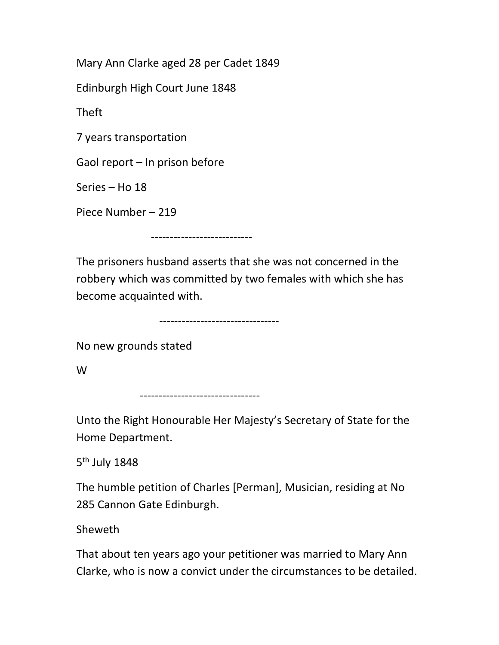Mary Ann Clarke aged 28 per Cadet 1849

Edinburgh High Court June 1848

Theft

7 years transportation

Gaol report – In prison before

Series – Ho 18

Piece Number – 219

---------------------------

The prisoners husband asserts that she was not concerned in the robbery which was committed by two females with which she has become acquainted with.

--------------------------------

No new grounds stated

W

--------------------------------

Unto the Right Honourable Her Majesty's Secretary of State for the Home Department.

5<sup>th</sup> July 1848

The humble petition of Charles [Perman], Musician, residing at No 285 Cannon Gate Edinburgh.

Sheweth

That about ten years ago your petitioner was married to Mary Ann Clarke, who is now a convict under the circumstances to be detailed.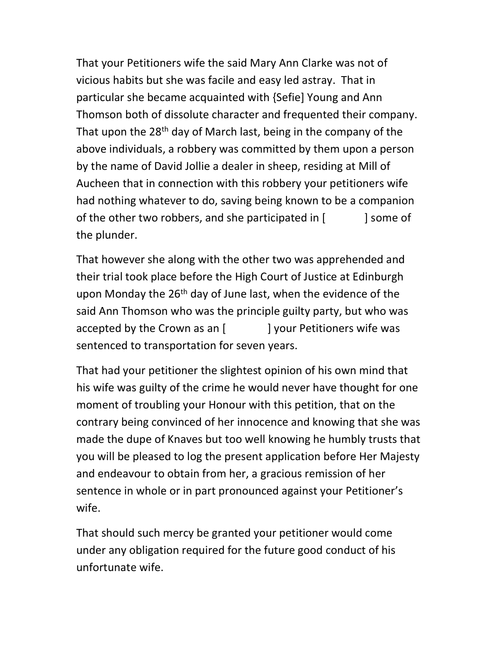That your Petitioners wife the said Mary Ann Clarke was not of vicious habits but she was facile and easy led astray. That in particular she became acquainted with {Sefie] Young and Ann Thomson both of dissolute character and frequented their company. That upon the  $28<sup>th</sup>$  day of March last, being in the company of the above individuals, a robbery was committed by them upon a person by the name of David Jollie a dealer in sheep, residing at Mill of Aucheen that in connection with this robbery your petitioners wife had nothing whatever to do, saving being known to be a companion of the other two robbers, and she participated in [ ] some of the plunder.

That however she along with the other two was apprehended and their trial took place before the High Court of Justice at Edinburgh upon Monday the  $26<sup>th</sup>$  day of June last, when the evidence of the said Ann Thomson who was the principle guilty party, but who was accepted by the Crown as an [ ] your Petitioners wife was sentenced to transportation for seven years.

That had your petitioner the slightest opinion of his own mind that his wife was guilty of the crime he would never have thought for one moment of troubling your Honour with this petition, that on the contrary being convinced of her innocence and knowing that she was made the dupe of Knaves but too well knowing he humbly trusts that you will be pleased to log the present application before Her Majesty and endeavour to obtain from her, a gracious remission of her sentence in whole or in part pronounced against your Petitioner's wife.

That should such mercy be granted your petitioner would come under any obligation required for the future good conduct of his unfortunate wife.